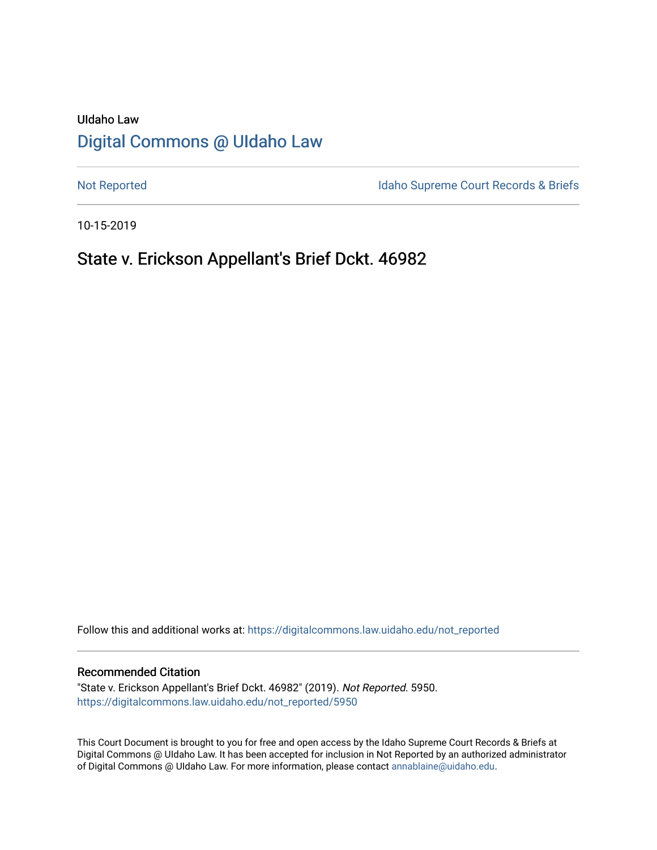# UIdaho Law [Digital Commons @ UIdaho Law](https://digitalcommons.law.uidaho.edu/)

[Not Reported](https://digitalcommons.law.uidaho.edu/not_reported) **Idaho Supreme Court Records & Briefs** 

10-15-2019

## State v. Erickson Appellant's Brief Dckt. 46982

Follow this and additional works at: [https://digitalcommons.law.uidaho.edu/not\\_reported](https://digitalcommons.law.uidaho.edu/not_reported?utm_source=digitalcommons.law.uidaho.edu%2Fnot_reported%2F5950&utm_medium=PDF&utm_campaign=PDFCoverPages) 

#### Recommended Citation

"State v. Erickson Appellant's Brief Dckt. 46982" (2019). Not Reported. 5950. [https://digitalcommons.law.uidaho.edu/not\\_reported/5950](https://digitalcommons.law.uidaho.edu/not_reported/5950?utm_source=digitalcommons.law.uidaho.edu%2Fnot_reported%2F5950&utm_medium=PDF&utm_campaign=PDFCoverPages)

This Court Document is brought to you for free and open access by the Idaho Supreme Court Records & Briefs at Digital Commons @ UIdaho Law. It has been accepted for inclusion in Not Reported by an authorized administrator of Digital Commons @ UIdaho Law. For more information, please contact [annablaine@uidaho.edu](mailto:annablaine@uidaho.edu).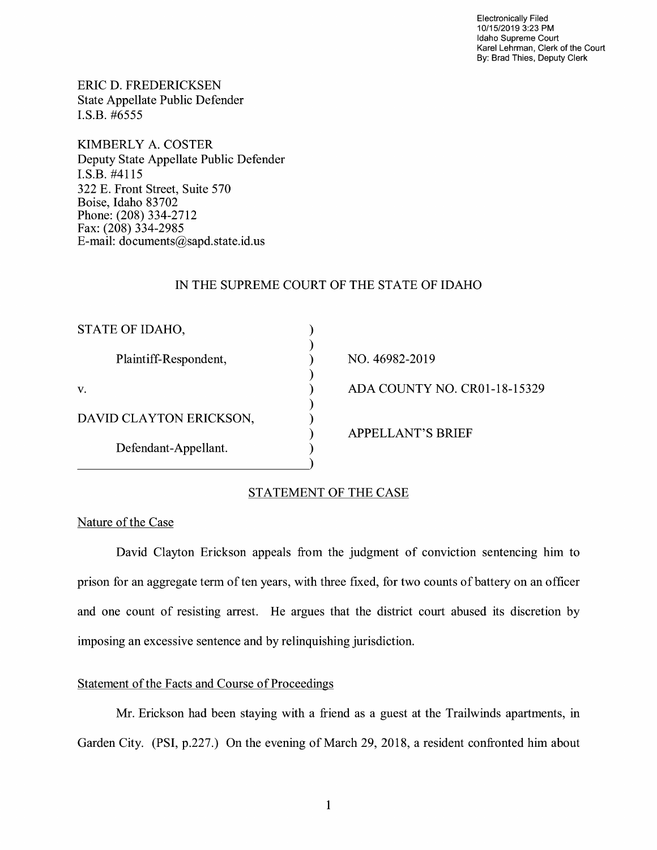Electronically Filed 10/15/2019 3:23 PM Idaho Supreme Court Karel Lehrman, Clerk of the Court By: Brad Thies, Deputy Clerk

ERIC D. FREDERICKSEN State Appellate Public Defender I.S.B. #6555

KIMBERLY A. COSTER Deputy State Appellate Public Defender I.S.B. #4115 322 E. Front Street, Suite 570 Boise, Idaho 83702 Phone: (208) 334-2712 Fax: (208) 334-2985 E-mail: documents@sapd.state.id. us

## IN THE SUPREME COURT OF THE STATE OF IDAHO

| STATE OF IDAHO,         |  |
|-------------------------|--|
| Plaintiff-Respondent,   |  |
| V.                      |  |
| DAVID CLAYTON ERICKSON, |  |
| Defendant-Appellant.    |  |

NO. 46982-2019 ADA COUNTY NO. CR0l-18-15329 APPELLANT'S BRIEF

## STATEMENT OF THE CASE

 $\lambda$ 

#### Nature of the Case

David Clayton Erickson appeals from the judgment of conviction sentencing him to prison for an aggregate term of ten years, with three fixed, for two counts of battery on an officer and one count of resisting arrest. He argues that the district court abused its discretion by imposing an excessive sentence and by relinquishing jurisdiction.

## Statement of the Facts and Course of Proceedings

Mr. Erickson had been staying with a friend as a guest at the Trailwinds apartments, in Garden City. (PSI, p.227.) On the evening of March 29, 2018, a resident confronted him about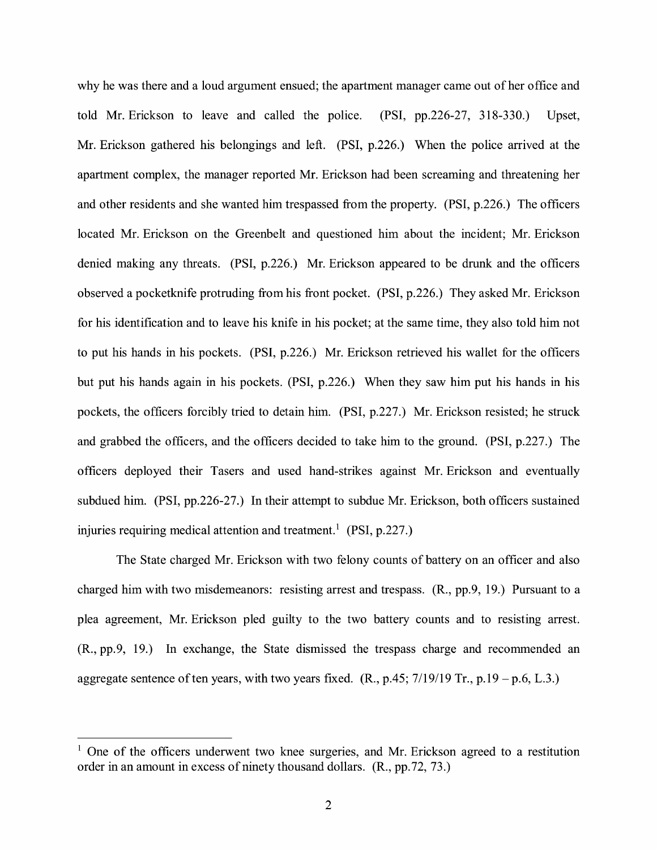why he was there and a loud argument ensued; the apartment manager came out of her office and told Mr. Erickson to leave and called the police. (PSI, pp.226-27, 318-330.) Upset, Mr. Erickson gathered his belongings and left. (PSI, p.226.) When the police arrived at the apartment complex, the manager reported Mr. Erickson had been screaming and threatening her and other residents and she wanted him trespassed from the property. (PSI, p.226.) The officers located Mr. Erickson on the Greenbelt and questioned him about the incident; Mr. Erickson denied making any threats. (PSI, p.226.) Mr. Erickson appeared to be drunk and the officers observed a pocketknife protruding from his front pocket. (PSI, p.226.) They asked Mr. Erickson for his identification and to leave his knife in his pocket; at the same time, they also told him not to put his hands in his pockets. (PSI, p.226.) Mr. Erickson retrieved his wallet for the officers but put his hands again in his pockets. (PSI, p.226.) When they saw him put his hands in his pockets, the officers forcibly tried to detain him. (PSI, p.227.) Mr. Erickson resisted; he struck and grabbed the officers, and the officers decided to take him to the ground. (PSI, p.227.) The officers deployed their Tasers and used hand-strikes against Mr. Erickson and eventually subdued him. (PSI, pp.226-27.) In their attempt to subdue Mr. Erickson, both officers sustained injuries requiring medical attention and treatment.<sup>1</sup> (PSI, p.227.)

The State charged Mr. Erickson with two felony counts of battery on an officer and also charged him with two misdemeanors: resisting arrest and trespass. (R., pp.9, 19.) Pursuant to a plea agreement, Mr. Erickson pled guilty to the two battery counts and to resisting arrest. (R., pp.9, 19.) In exchange, the State dismissed the trespass charge and recommended an aggregate sentence of ten years, with two years fixed.  $(R., p.45; 7/19/19 \text{ Tr.}, p.19 - p.6, L.3.)$ 

 $1$  One of the officers underwent two knee surgeries, and Mr. Erickson agreed to a restitution order in an amount in excess of ninety thousand dollars. (R., pp.72, 73.)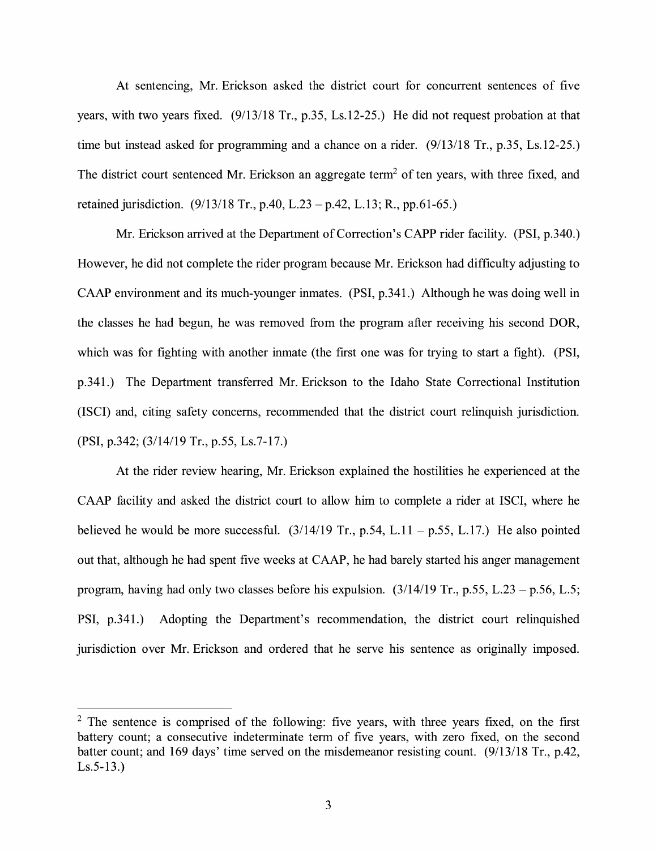At sentencing, Mr. Erickson asked the district court for concurrent sentences of five years, with two years fixed. (9/13/18 Tr., p.35, Ls.12-25.) He did not request probation at that time but instead asked for programming and a chance on a rider. (9/13/18 Tr., p.35, Ls.12-25.) The district court sentenced Mr. Erickson an aggregate term<sup>2</sup> of ten years, with three fixed, and retained jurisdiction. (9/13/18 Tr., p.40, L.23 -p.42, L.13; R., pp.61-65.)

Mr. Erickson arrived at the Department of Correction's CAPP rider facility. (PSI, p.340.) However, he did not complete the rider program because Mr. Erickson had difficulty adjusting to CAAP environment and its much-younger inmates. (PSI, p.341.) Although he was doing well in the classes he had begun, he was removed from the program after receiving his second DOR, which was for fighting with another inmate (the first one was for trying to start a fight). (PSI, p.341.) The Department transferred Mr. Erickson to the Idaho State Correctional Institution (ISCI) and, citing safety concerns, recommended that the district court relinquish jurisdiction. (PSI, p.342; (3/14/19 Tr., p.55, Ls.7-17.)

At the rider review hearing, Mr. Erickson explained the hostilities he experienced at the CAAP facility and asked the district court to allow him to complete a rider at ISCI, where he believed he would be more successful.  $(3/14/19 \text{ Tr.}, p.54, L.11 - p.55, L.17)$  He also pointed out that, although he had spent five weeks at CAAP, he had barely started his anger management program, having had only two classes before his expulsion.  $(3/14/19 \text{ Tr}$ , p.55, L.23 – p.56, L.5; PSI, p.341.) Adopting the Department's recommendation, the district court relinquished jurisdiction over Mr. Erickson and ordered that he serve his sentence as originally imposed.

 $2$  The sentence is comprised of the following: five years, with three years fixed, on the first battery count; a consecutive indeterminate term of five years, with zero fixed, on the second batter count; and 169 days' time served on the misdemeanor resisting count. (9/13/18 Tr., p.42, Ls.5-13.)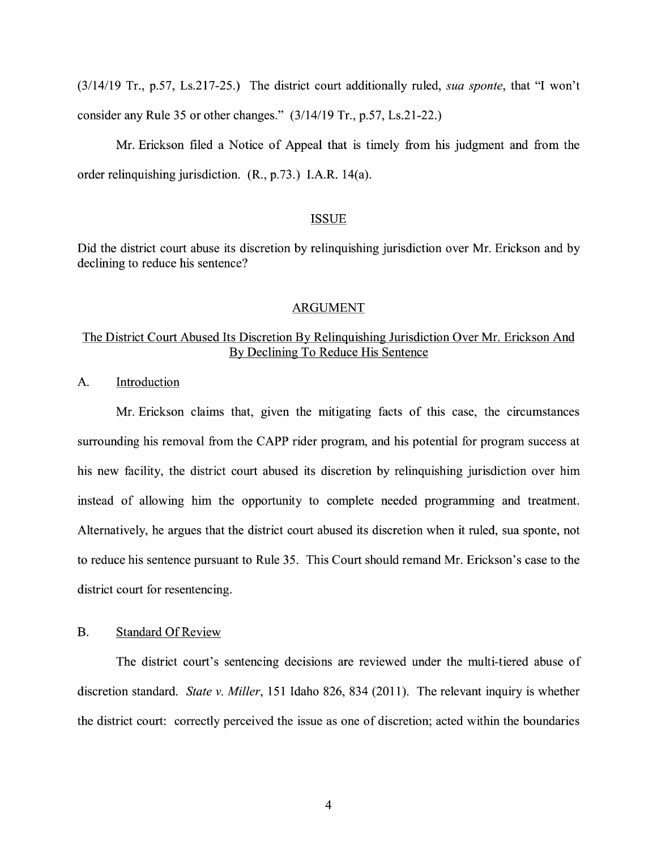(3/14/19 Tr., p.57, Ls.217-25.) The district court additionally ruled, *sua sponte,* that "I won't consider any Rule 35 or other changes." (3/14/19 Tr., p.57, Ls.21-22.)

Mr. Erickson filed a Notice of Appeal that is timely from his judgment and from the order relinquishing jurisdiction.  $(R., p.73.)$  I.A.R. 14(a).

### ISSUE

Did the district court abuse its discretion by relinquishing jurisdiction over Mr. Erickson and by declining to reduce his sentence?

#### ARGUMENT

## The District Court Abused Its Discretion By Relinquishing Jurisdiction Over Mr. Erickson And By Declining To Reduce His Sentence

A. Introduction

Mr. Erickson claims that, given the mitigating facts of this case, the circumstances surrounding his removal from the CAPP rider program, and his potential for program success at his new facility, the district court abused its discretion by relinquishing jurisdiction over him instead of allowing him the opportunity to complete needed programming and treatment. Alternatively, he argues that the district court abused its discretion when it ruled, sua sponte, not to reduce his sentence pursuant to Rule 35. This Court should remand Mr. Erickson's case to the district court for resentencing.

## B. Standard Of Review

The district court's sentencing decisions are reviewed under the multi-tiered abuse of discretion standard. *State v. Miller,* 151 Idaho 826, 834 (2011 ). The relevant inquiry is whether the district court: correctly perceived the issue as one of discretion; acted within the boundaries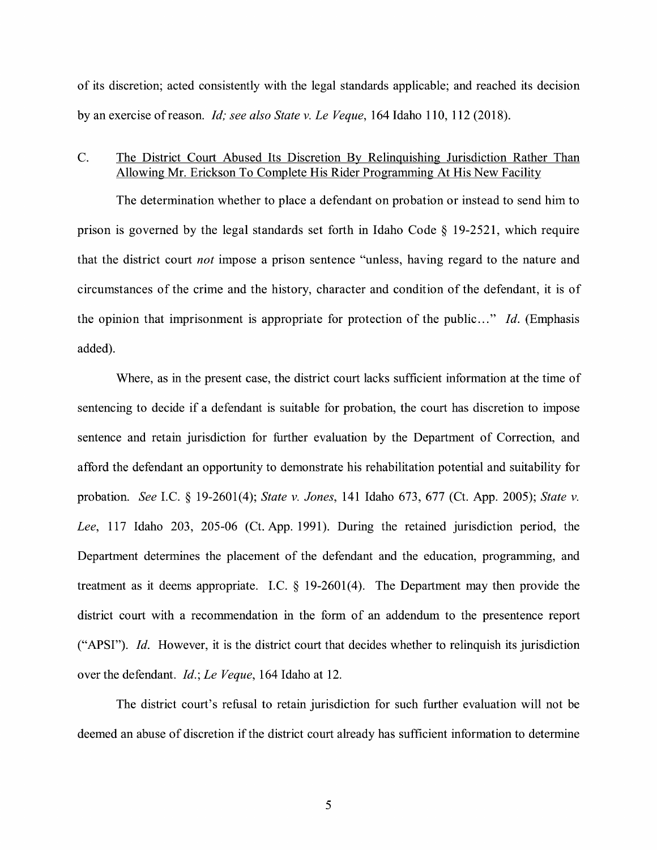of its discretion; acted consistently with the legal standards applicable; and reached its decision by an exercise ofreason. *Id; see also State v. Le Veque,* 164 Idaho 110, 112 (2018).

## C. The District Court Abused Its Discretion By Relinquishing Jurisdiction Rather Than Allowing Mr. Erickson To Complete His Rider Programming At His New Facility

The determination whether to place a defendant on probation or instead to send him to prison is governed by the legal standards set forth in Idaho Code § 19-2521, which require that the district court *not* impose a prison sentence "unless, having regard to the nature and circumstances of the crime and the history, character and condition of the defendant, it is of the opinion that imprisonment is appropriate for protection of the public ... " *Id.* (Emphasis added).

Where, as in the present case, the district court lacks sufficient information at the time of sentencing to decide if a defendant is suitable for probation, the court has discretion to impose sentence and retain jurisdiction for further evaluation by the Department of Correction, and afford the defendant an opportunity to demonstrate his rehabilitation potential and suitability for probation. *See* LC. § 19-2601(4); *State v. Jones,* 141 Idaho 673, 677 (Ct. App. 2005); *State v. Lee,* 117 Idaho 203, 205-06 (Ct. App. 1991). During the retained jurisdiction period, the Department determines the placement of the defendant and the education, programming, and treatment as it deems appropriate. LC. § 19-2601(4). The Department may then provide the district court with a recommendation in the form of an addendum to the presentence report ("APSI"). *Id.* However, it is the district court that decides whether to relinquish its jurisdiction over the defendant. *Id.; Le Veque,* 164 Idaho at 12.

The district court's refusal to retain jurisdiction for such further evaluation will not be deemed an abuse of discretion if the district court already has sufficient information to determine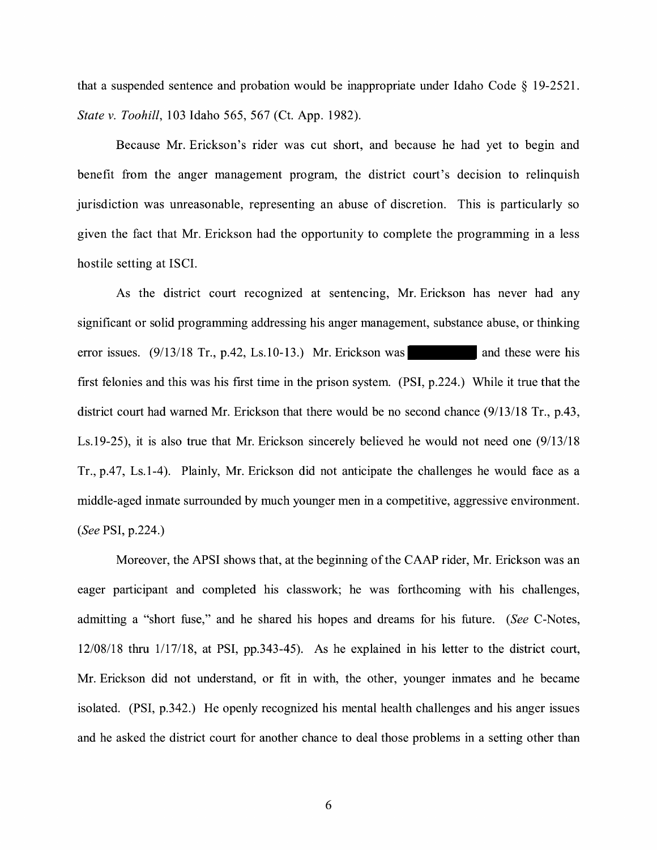that a suspended sentence and probation would be inappropriate under Idaho Code § 19-2521. *State v. Toohill,* 103 Idaho 565, 567 (Ct. App. 1982).

Because Mr. Erickson's rider was cut short, and because he had yet to begin and benefit from the anger management program, the district court's decision to relinquish jurisdiction was unreasonable, representing an abuse of discretion. This is particularly so given the fact that Mr. Erickson had the opportunity to complete the programming in a less hostile setting at ISCI.

As the district court recognized at sentencing, Mr. Erickson has never had any significant or solid programming addressing his anger management, substance abuse, or thinking error issues.  $(9/13/18 \text{ Tr.}, p.42, Ls.10-13.)$  Mr. Erickson was and these were his first felonies and this was his first time in the prison system. (PSI, p.224.) While it true that the district court had warned Mr. Erickson that there would be no second chance (9/13/18 Tr., p.43, Ls.19-25), it is also true that Mr. Erickson sincerely believed he would not need one (9/13/18 Tr., p.47, Ls.1-4). Plainly, Mr. Erickson did not anticipate the challenges he would face as a middle-aged inmate surrounded by much younger men in a competitive, aggressive environment. *(See* PSI, p.224.)

Moreover, the APSI shows that, at the beginning of the CAAP rider, Mr. Erickson was an eager participant and completed his classwork; he was forthcoming with his challenges, admitting a "short fuse," and he shared his hopes and dreams for his future. *(See* C-Notes, 12/08/18 thru 1/17/18, at PSI, pp.343-45). As he explained in his letter to the district court, Mr. Erickson did not understand, or fit in with, the other, younger inmates and he became isolated. (PSI, p.342.) He openly recognized his mental health challenges and his anger issues and he asked the district court for another chance to deal those problems in a setting other than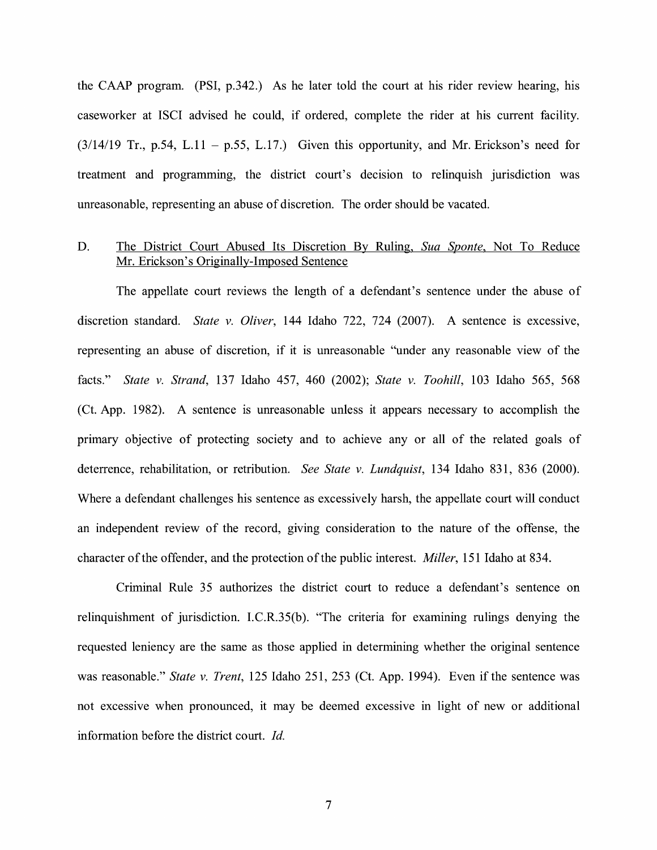the CAAP program. (PSI, p.342.) As he later told the court at his rider review hearing, his caseworker at ISCI advised he could, if ordered, complete the rider at his current facility.  $(3/14/19$  Tr., p.54, L.11 – p.55, L.17.) Given this opportunity, and Mr. Erickson's need for treatment and programming, the district court's decision to relinquish jurisdiction was unreasonable, representing an abuse of discretion. The order should be vacated.

#### D. The District Court Abused Its Discretion By Ruling, *Sua Sponte,* Not To Reduce Mr. Erickson's Originally-Imposed Sentence

The appellate court reviews the length of a defendant's sentence under the abuse of discretion standard. *State v. Oliver,* 144 Idaho 722, 724 (2007). A sentence is excessive, representing an abuse of discretion, if it is unreasonable ''under any reasonable view of the facts." *State v. Strand,* 137 Idaho 457, 460 (2002); *State v. Toohill,* 103 Idaho 565, 568 (Ct. App. 1982). A sentence is unreasonable unless it appears necessary to accomplish the primary objective of protecting society and to achieve any or all of the related goals of deterrence, rehabilitation, or retribution. *See State v. Lundquist,* 134 Idaho 831, 836 (2000). Where a defendant challenges his sentence as excessively harsh, the appellate court will conduct an independent review of the record, giving consideration to the nature of the offense, the character of the offender, and the protection of the public interest. *Miller,* 151 Idaho at 834.

Criminal Rule 35 authorizes the district court to reduce a defendant's sentence on relinquishment of jurisdiction. I.C.R.35(b). "The criteria for examining rulings denying the requested leniency are the same as those applied in determining whether the original sentence was reasonable." *State v. Trent,* 125 Idaho 251, 253 (Ct. App. 1994). Even if the sentence was not excessive when pronounced, it may be deemed excessive in light of new or additional information before the district court. *Id.*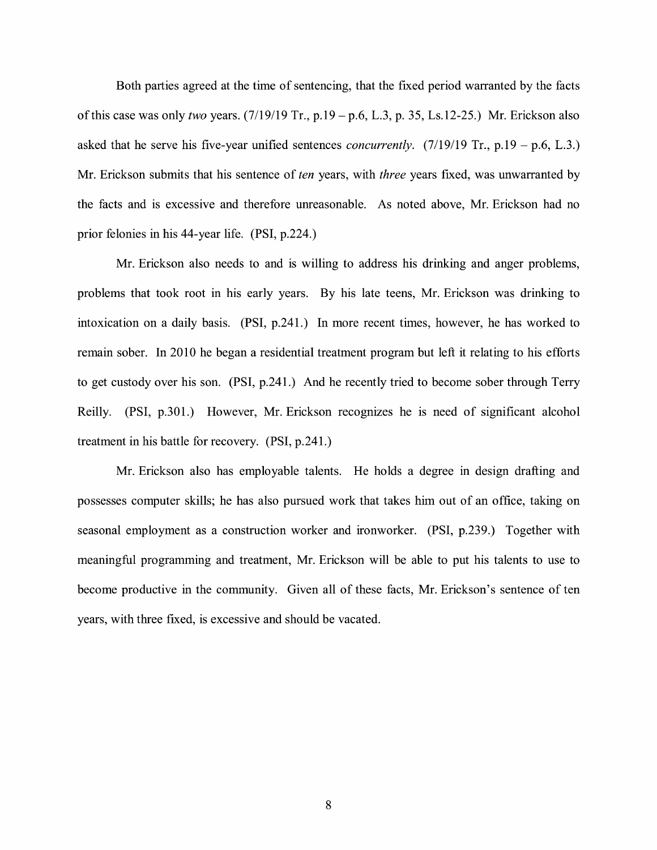Both parties agreed at the time of sentencing, that the fixed period warranted by the facts of this case was only *two* years. (7/19/19 Tr., p.19-p.6, L.3, p. 35, Ls.12-25.) Mr. Erickson also asked that he serve his five-year unified sentences *concurrently.*  $(7/19/19 \text{ Tr.}, p.19 - p.6, L.3.)$ Mr. Erickson submits that his sentence of *ten* years, with *three* years fixed, was unwarranted by the facts and is excessive and therefore unreasonable. As noted above, Mr. Erickson had no prior felonies in his 44-year life. (PSI, p.224.)

Mr. Erickson also needs to and is willing to address his drinking and anger problems, problems that took root in his early years. By his late teens, Mr. Erickson was drinking to intoxication on a daily basis. (PSI, p.241.) In more recent times, however, he has worked to remain sober. In 2010 he began a residential treatment program but left it relating to his efforts to get custody over his son. (PSI, p.241.) And he recently tried to become sober through Terry Reilly. (PSI, p.301.) However, Mr. Erickson recognizes he is need of significant alcohol treatment in his battle for recovery. (PSI, p.241.)

Mr. Erickson also has employable talents. He holds a degree in design drafting and possesses computer skills; he has also pursued work that takes him out of an office, taking on seasonal employment as a construction worker and ironworker. (PSI, p.239.) Together with meaningful programming and treatment, Mr. Erickson will be able to put his talents to use to become productive in the community. Given all of these facts, Mr. Erickson's sentence of ten years, with three fixed, is excessive and should be vacated.